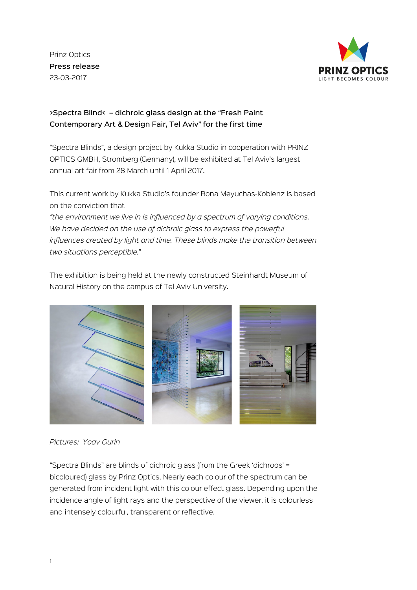Prinz Optics Press release 23-03-2017



>Spectra Blind< – dichroic glass design at the "Fresh Paint Contemporary Art & Design Fair, Tel Aviv" for the first time

"Spectra Blinds", a design project by Kukka Studio in cooperation with PRINZ OPTICS GMBH, Stromberg (Germany), will be exhibited at Tel Aviv's largest annual art fair from 28 March until 1 April 2017.

This current work by Kukka Studio's founder Rona Meyuchas-Koblenz is based on the conviction that

*"the environment we live in is influenced by a spectrum of varying conditions. We have decided on the use of dichroic glass to express the powerful influences created by light and time. These blinds make the transition between two situations perceptible.*"

The exhibition is being held at the newly constructed Steinhardt Museum of Natural History on the campus of Tel Aviv University.



*Pictures: Yoav Gurin*

"Spectra Blinds" are blinds of dichroic glass (from the Greek 'dichroos' = bicoloured) glass by Prinz Optics. Nearly each colour of the spectrum can be generated from incident light with this colour effect glass. Depending upon the incidence angle of light rays and the perspective of the viewer, it is colourless and intensely colourful, transparent or reflective.